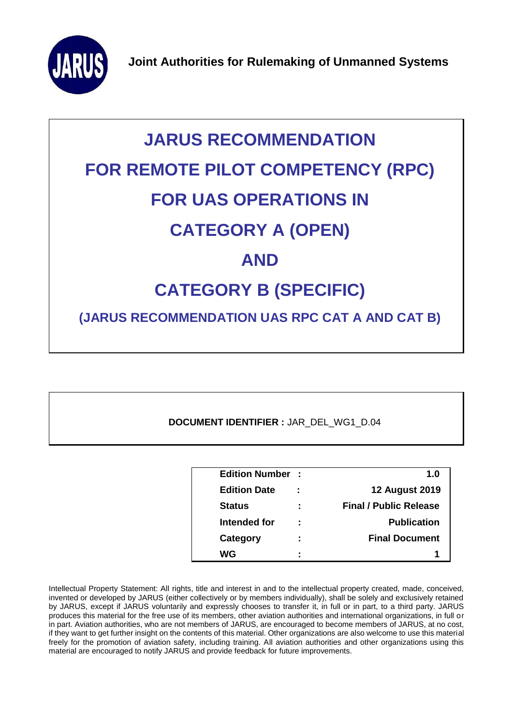

# **JARUS RECOMMENDATION FOR REMOTE PILOT COMPETENCY (RPC) FOR UAS OPERATIONS IN CATEGORY A (OPEN) AND CATEGORY B (SPECIFIC) (JARUS RECOMMENDATION UAS RPC CAT A AND CAT B)**

### **DOCUMENT IDENTIFIER :** JAR\_DEL\_WG1\_D.04

| <b>Edition Number</b> |   | 1.0                           |
|-----------------------|---|-------------------------------|
| <b>Edition Date</b>   |   | <b>12 August 2019</b>         |
| <b>Status</b>         | ÷ | <b>Final / Public Release</b> |
| Intended for          | ٠ | <b>Publication</b>            |
| Category              | ٠ | <b>Final Document</b>         |
| WG                    |   |                               |

Intellectual Property Statement: All rights, title and interest in and to the intellectual property created, made, conceived, invented or developed by JARUS (either collectively or by members individually), shall be solely and exclusively retained by JARUS, except if JARUS voluntarily and expressly chooses to transfer it, in full or in part, to a third party. JARUS produces this material for the free use of its members, other aviation authorities and international organizations, in full or in part. Aviation authorities, who are not members of JARUS, are encouraged to become members of JARUS, at no cost, if they want to get further insight on the contents of this material. Other organizations are also welcome to use this material freely for the promotion of aviation safety, including training. All aviation authorities and other organizations using this material are encouraged to notify JARUS and provide feedback for future improvements.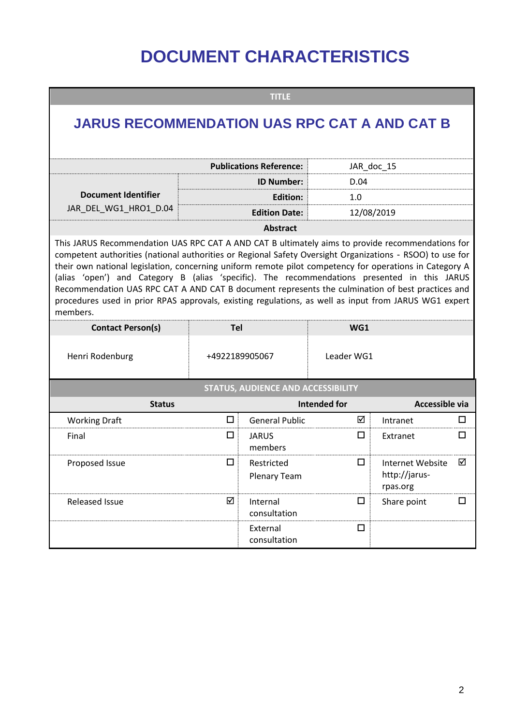## **DOCUMENT CHARACTERISTICS**

**TITLE JARUS RECOMMENDATION UAS RPC CAT A AND CAT B Publications Reference:** JAR\_doc\_15 **Document Identifier** JAR\_DEL\_WG1\_HRO1\_D.04 **ID Number:** D.04  **Edition:** 1.0 **Edition Date:** 12/08/2019 **Abstract** This JARUS Recommendation UAS RPC CAT A AND CAT B ultimately aims to provide recommendations for competent authorities (national authorities or Regional Safety Oversight Organizations - RSOO) to use for their own national legislation, concerning uniform remote pilot competency for operations in Category A (alias 'open') and Category B (alias 'specific). The recommendations presented in this JARUS Recommendation UAS RPC CAT A AND CAT B document represents the culmination of best practices and procedures used in prior RPAS approvals, existing regulations, as well as input from JARUS WG1 expert members. **Contact Person(s) Tel WG1** Henri Rodenburg +4922189905067 Leader WG1 **STATUS, AUDIENCE AND ACCESSIBILITY Status Intended for Accessible via** Working Draft  $\Box$  General Public  $\Box$  Intranet  $\Box$ Final  $\Box$  JARUS members  $\square$  Extranet  $\square$ Proposed Issue **COLLECT** Restricted Plenary Team  $\Box$  Internet Website http://jarusrpas.org ☑ Released Issue  $\Box$  Internal consultation  $\Box$  Share point  $\Box$ External consultation  $\Box$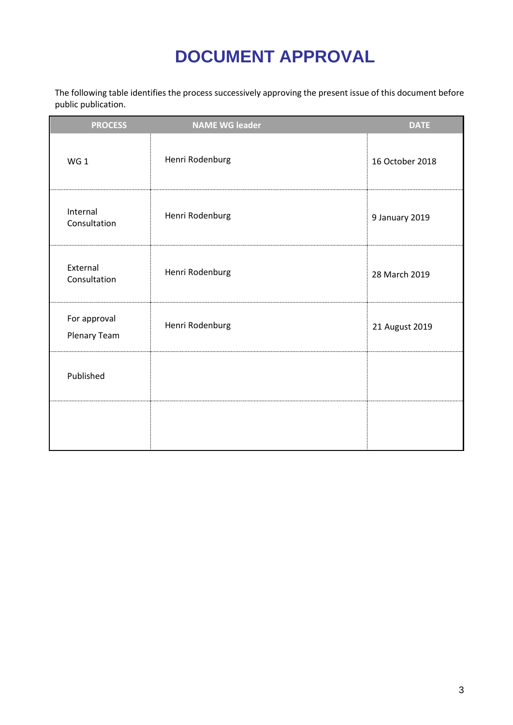## **DOCUMENT APPROVAL**

The following table identifies the process successively approving the present issue of this document before public publication.

| <b>PROCESS</b>               | <b>NAME WG leader</b> | <b>DATE</b>     |
|------------------------------|-----------------------|-----------------|
| WG <sub>1</sub>              | Henri Rodenburg       | 16 October 2018 |
| Internal<br>Consultation     | Henri Rodenburg       | 9 January 2019  |
| External<br>Consultation     | Henri Rodenburg       | 28 March 2019   |
| For approval<br>Plenary Team | Henri Rodenburg       | 21 August 2019  |
| Published                    |                       |                 |
|                              |                       |                 |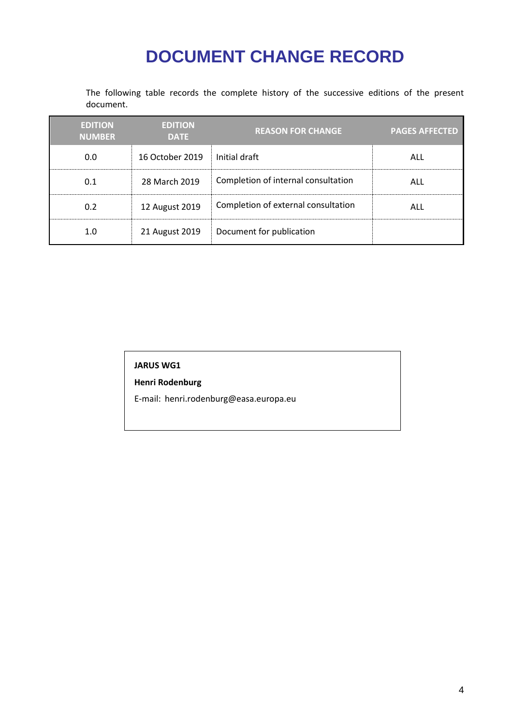## **DOCUMENT CHANGE RECORD**

The following table records the complete history of the successive editions of the present document.

| <b>EDITION</b><br><b>NUMBER</b> | <b>EDITION</b><br><b>DATE</b> | <b>REASON FOR CHANGE</b>            | <b>PAGES AFFECTED</b> |
|---------------------------------|-------------------------------|-------------------------------------|-----------------------|
| 0.0                             | 16 October 2019               | Initial draft                       | ALL                   |
| 0.1                             | 28 March 2019                 | Completion of internal consultation | ALL                   |
| 0.2                             | 12 August 2019                | Completion of external consultation | ALL                   |
| 1.0                             | 21 August 2019                | Document for publication            |                       |

#### **JARUS WG1**

**Henri Rodenburg**

E-mail: henri.rodenburg@easa.europa.eu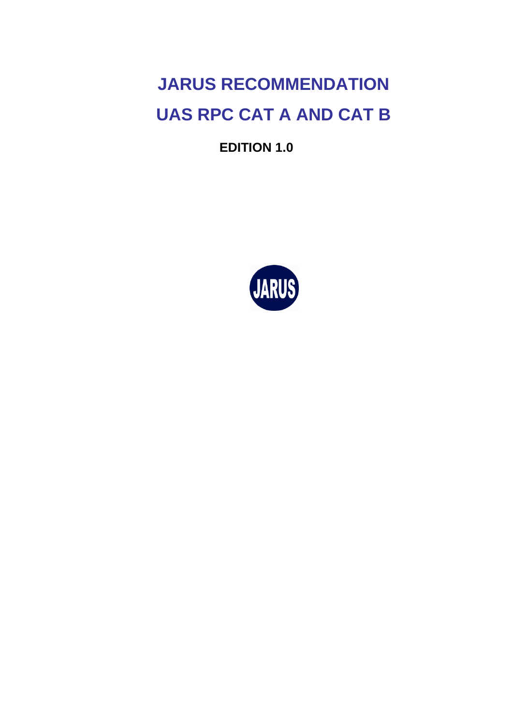## **JARUS RECOMMENDATION UAS RPC CAT A AND CAT B**

**EDITION 1.0**

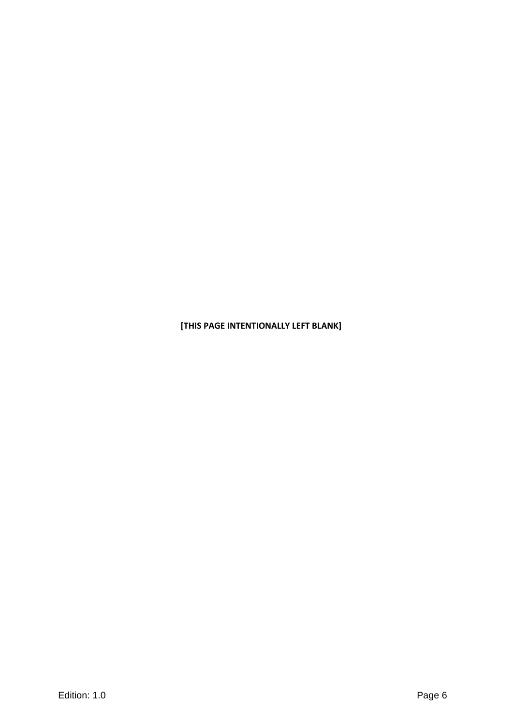**[THIS PAGE INTENTIONALLY LEFT BLANK]**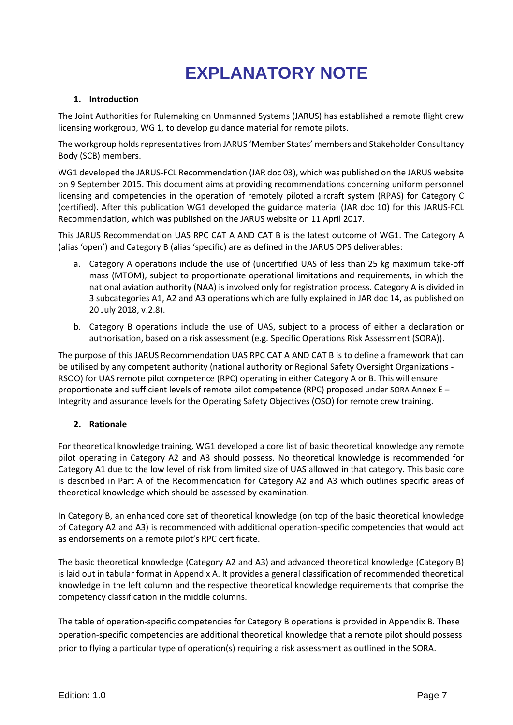## **EXPLANATORY NOTE**

#### **1. Introduction**

The Joint Authorities for Rulemaking on Unmanned Systems (JARUS) has established a remote flight crew licensing workgroup, WG 1, to develop guidance material for remote pilots.

The workgroup holds representatives from JARUS 'Member States' members and Stakeholder Consultancy Body (SCB) members.

WG1 developed the JARUS-FCL Recommendation (JAR doc 03), which was published on the JARUS website on 9 September 2015. This document aims at providing recommendations concerning uniform personnel licensing and competencies in the operation of remotely piloted aircraft system (RPAS) for Category C (certified). After this publication WG1 developed the guidance material (JAR doc 10) for this JARUS-FCL Recommendation, which was published on the JARUS website on 11 April 2017.

This JARUS Recommendation UAS RPC CAT A AND CAT B is the latest outcome of WG1. The Category A (alias 'open') and Category B (alias 'specific) are as defined in the JARUS OPS deliverables:

- a. Category A operations include the use of (uncertified UAS of less than 25 kg maximum take-off mass (MTOM), subject to proportionate operational limitations and requirements, in which the national aviation authority (NAA) is involved only for registration process. Category A is divided in 3 subcategories A1, A2 and A3 operations which are fully explained in JAR doc 14, as published on 20 July 2018, v.2.8).
- b. Category B operations include the use of UAS, subject to a process of either a declaration or authorisation, based on a risk assessment (e.g. Specific Operations Risk Assessment (SORA)).

The purpose of this JARUS Recommendation UAS RPC CAT A AND CAT B is to define a framework that can be utilised by any competent authority (national authority or Regional Safety Oversight Organizations - RSOO) for UAS remote pilot competence (RPC) operating in either Category A or B. This will ensure proportionate and sufficient levels of remote pilot competence (RPC) proposed under SORA Annex E – Integrity and assurance levels for the Operating Safety Objectives (OSO) for remote crew training.

#### **2. Rationale**

For theoretical knowledge training, WG1 developed a core list of basic theoretical knowledge any remote pilot operating in Category A2 and A3 should possess. No theoretical knowledge is recommended for Category A1 due to the low level of risk from limited size of UAS allowed in that category. This basic core is described in Part A of the Recommendation for Category A2 and A3 which outlines specific areas of theoretical knowledge which should be assessed by examination.

In Category B, an enhanced core set of theoretical knowledge (on top of the basic theoretical knowledge of Category A2 and A3) is recommended with additional operation-specific competencies that would act as endorsements on a remote pilot's RPC certificate.

The basic theoretical knowledge (Category A2 and A3) and advanced theoretical knowledge (Category B) is laid out in tabular format in Appendix A. It provides a general classification of recommended theoretical knowledge in the left column and the respective theoretical knowledge requirements that comprise the competency classification in the middle columns.

The table of operation-specific competencies for Category B operations is provided in Appendix B. These operation-specific competencies are additional theoretical knowledge that a remote pilot should possess prior to flying a particular type of operation(s) requiring a risk assessment as outlined in the SORA.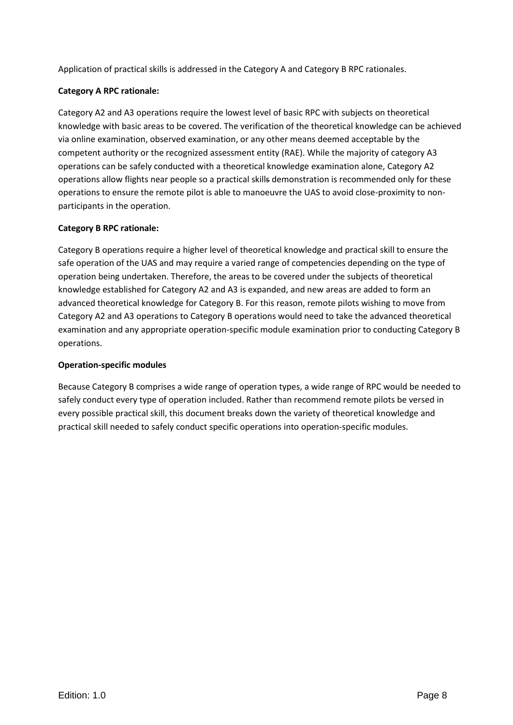Application of practical skills is addressed in the Category A and Category B RPC rationales.

#### **Category A RPC rationale:**

Category A2 and A3 operations require the lowest level of basic RPC with subjects on theoretical knowledge with basic areas to be covered. The verification of the theoretical knowledge can be achieved via online examination, observed examination, or any other means deemed acceptable by the competent authority or the recognized assessment entity (RAE). While the majority of category A3 operations can be safely conducted with a theoretical knowledge examination alone, Category A2 operations allow flights near people so a practical skills demonstration is recommended only for these operations to ensure the remote pilot is able to manoeuvre the UAS to avoid close-proximity to nonparticipants in the operation.

#### **Category B RPC rationale:**

Category B operations require a higher level of theoretical knowledge and practical skill to ensure the safe operation of the UAS and may require a varied range of competencies depending on the type of operation being undertaken. Therefore, the areas to be covered under the subjects of theoretical knowledge established for Category A2 and A3 is expanded, and new areas are added to form an advanced theoretical knowledge for Category B. For this reason, remote pilots wishing to move from Category A2 and A3 operations to Category B operations would need to take the advanced theoretical examination and any appropriate operation-specific module examination prior to conducting Category B operations.

#### **Operation-specific modules**

Because Category B comprises a wide range of operation types, a wide range of RPC would be needed to safely conduct every type of operation included. Rather than recommend remote pilots be versed in every possible practical skill, this document breaks down the variety of theoretical knowledge and practical skill needed to safely conduct specific operations into operation-specific modules.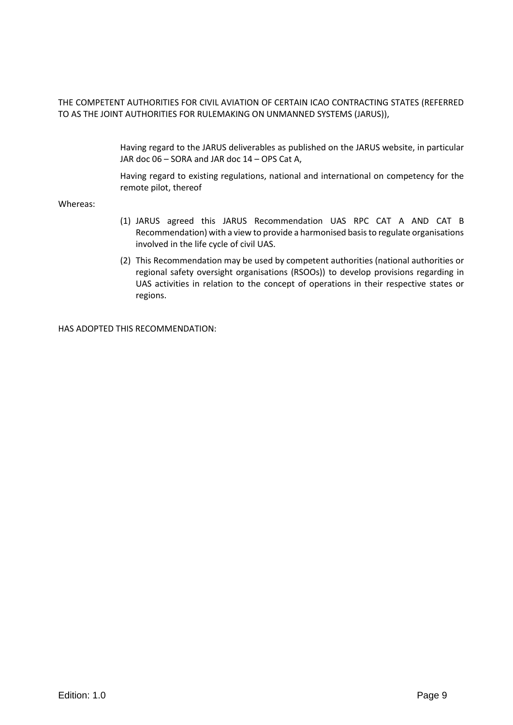THE COMPETENT AUTHORITIES FOR CIVIL AVIATION OF CERTAIN ICAO CONTRACTING STATES (REFERRED TO AS THE JOINT AUTHORITIES FOR RULEMAKING ON UNMANNED SYSTEMS (JARUS)),

> Having regard to the JARUS deliverables as published on the JARUS website, in particular JAR doc 06 – SORA and JAR doc 14 – OPS Cat A,

> Having regard to existing regulations, national and international on competency for the remote pilot, thereof

Whereas:

- (1) JARUS agreed this JARUS Recommendation UAS RPC CAT A AND CAT B Recommendation) with a view to provide a harmonised basis to regulate organisations involved in the life cycle of civil UAS.
- (2) This Recommendation may be used by competent authorities (national authorities or regional safety oversight organisations (RSOOs)) to develop provisions regarding in UAS activities in relation to the concept of operations in their respective states or regions.

HAS ADOPTED THIS RECOMMENDATION: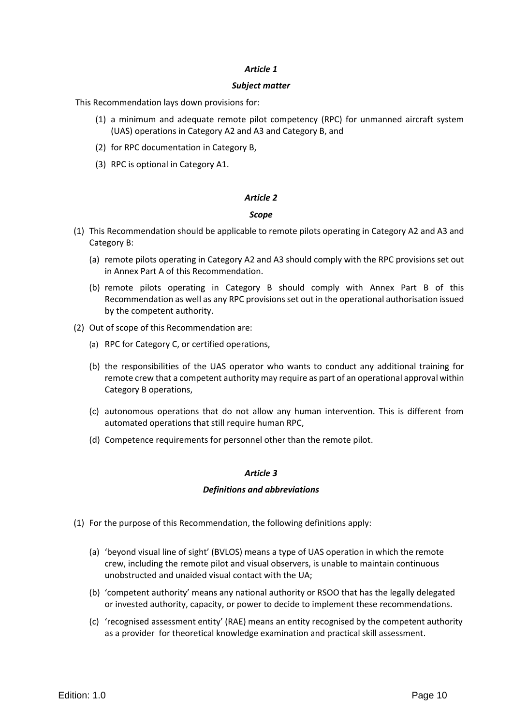#### *Subject matter*

This Recommendation lays down provisions for:

- (1) a minimum and adequate remote pilot competency (RPC) for unmanned aircraft system (UAS) operations in Category A2 and A3 and Category B, and
- (2) for RPC documentation in Category B,
- (3) RPC is optional in Category A1.

#### *Article 2*

#### *Scope*

- (1) This Recommendation should be applicable to remote pilots operating in Category A2 and A3 and Category B:
	- (a) remote pilots operating in Category A2 and A3 should comply with the RPC provisions set out in Annex Part A of this Recommendation.
	- (b) remote pilots operating in Category B should comply with Annex Part B of this Recommendation as well as any RPC provisions set out in the operational authorisation issued by the competent authority.
- (2) Out of scope of this Recommendation are:
	- (a) RPC for Category C, or certified operations,
	- (b) the responsibilities of the UAS operator who wants to conduct any additional training for remote crew that a competent authority may require as part of an operational approval within Category B operations,
	- (c) autonomous operations that do not allow any human intervention. This is different from automated operations that still require human RPC,
	- (d) Competence requirements for personnel other than the remote pilot.

#### *Article 3*

#### *Definitions and abbreviations*

- (1) For the purpose of this Recommendation, the following definitions apply:
	- (a) 'beyond visual line of sight' (BVLOS) means a type of UAS operation in which the remote crew, including the remote pilot and visual observers, is unable to maintain continuous unobstructed and unaided visual contact with the UA;
	- (b) 'competent authority' means any national authority or RSOO that has the legally delegated or invested authority, capacity, or power to decide to implement these recommendations.
	- (c) 'recognised assessment entity' (RAE) means an entity recognised by the competent authority as a provider for theoretical knowledge examination and practical skill assessment.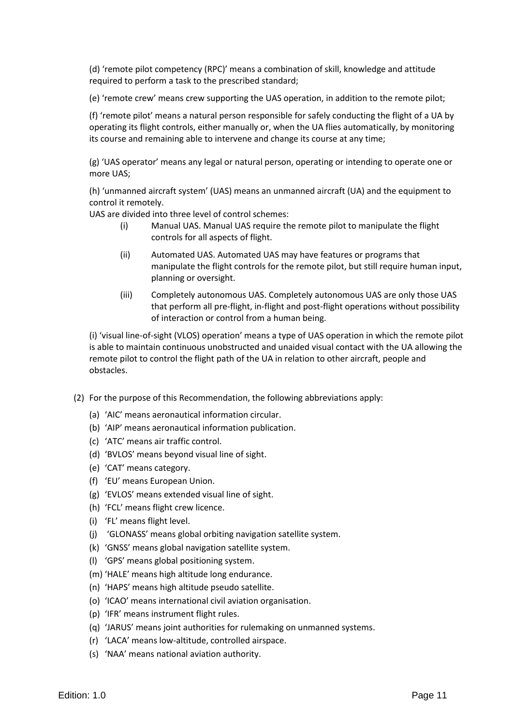(d) 'remote pilot competency (RPC)' means a combination of skill, knowledge and attitude required to perform a task to the prescribed standard;

(e) 'remote crew' means crew supporting the UAS operation, in addition to the remote pilot;

(f) 'remote pilot' means a natural person responsible for safely conducting the flight of a UA by operating its flight controls, either manually or, when the UA flies automatically, by monitoring its course and remaining able to intervene and change its course at any time;

(g) 'UAS operator' means any legal or natural person, operating or intending to operate one or more UAS;

(h) 'unmanned aircraft system' (UAS) means an unmanned aircraft (UA) and the equipment to control it remotely.

UAS are divided into three level of control schemes:

- (i) Manual UAS. Manual UAS require the remote pilot to manipulate the flight controls for all aspects of flight.
- (ii) Automated UAS. Automated UAS may have features or programs that manipulate the flight controls for the remote pilot, but still require human input, planning or oversight.
- (iii) Completely autonomous UAS. Completely autonomous UAS are only those UAS that perform all pre-flight, in-flight and post-flight operations without possibility of interaction or control from a human being.

(i) 'visual line-of-sight (VLOS) operation' means a type of UAS operation in which the remote pilot is able to maintain continuous unobstructed and unaided visual contact with the UA allowing the remote pilot to control the flight path of the UA in relation to other aircraft, people and obstacles.

- (2) For the purpose of this Recommendation, the following abbreviations apply:
	- (a) 'AIC' means aeronautical information circular.
	- (b) 'AIP' means aeronautical information publication.
	- (c) 'ATC' means air traffic control.
	- (d) 'BVLOS' means beyond visual line of sight.
	- (e) 'CAT' means category.
	- (f) 'EU' means European Union.
	- (g) 'EVLOS' means extended visual line of sight.
	- (h) 'FCL' means flight crew licence.
	- (i) 'FL' means flight level.
	- (j) 'GLONASS' means global orbiting navigation satellite system.
	- (k) 'GNSS' means global navigation satellite system.
	- (l) 'GPS' means global positioning system.
	- (m) 'HALE' means high altitude long endurance.
	- (n) 'HAPS' means high altitude pseudo satellite.
	- (o) 'ICAO' means international civil aviation organisation.
	- (p) 'IFR' means instrument flight rules.
	- (q) 'JARUS' means joint authorities for rulemaking on unmanned systems.
	- (r) 'LACA' means low-altitude, controlled airspace.
	- (s) 'NAA' means national aviation authority.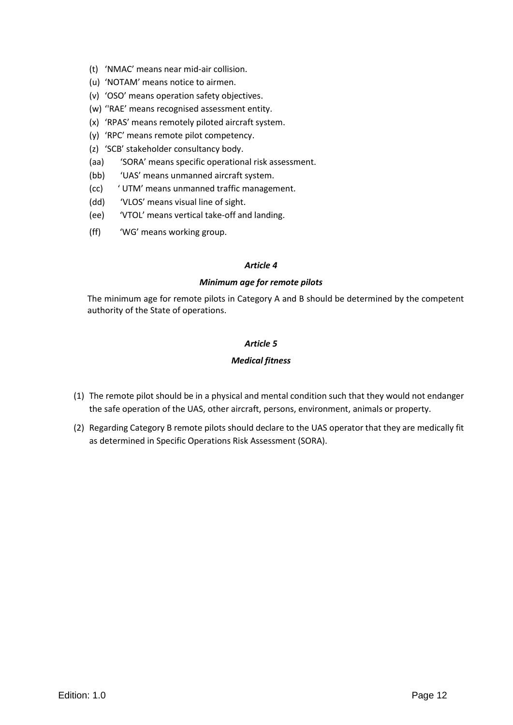- (t) 'NMAC' means near mid-air collision.
- (u) 'NOTAM' means notice to airmen.
- (v) 'OSO' means operation safety objectives.
- (w) ''RAE' means recognised assessment entity.
- (x) 'RPAS' means remotely piloted aircraft system.
- (y) 'RPC' means remote pilot competency.
- (z) 'SCB' stakeholder consultancy body.
- (aa) 'SORA' means specific operational risk assessment.
- (bb) 'UAS' means unmanned aircraft system.
- (cc) ' UTM' means unmanned traffic management.
- (dd) 'VLOS' means visual line of sight.
- (ee) 'VTOL' means vertical take-off and landing.
- (ff) 'WG' means working group.

#### *Minimum age for remote pilots*

The minimum age for remote pilots in Category A and B should be determined by the competent authority of the State of operations.

#### *Article 5*

#### *Medical fitness*

- (1) The remote pilot should be in a physical and mental condition such that they would not endanger the safe operation of the UAS, other aircraft, persons, environment, animals or property.
- (2) Regarding Category B remote pilots should declare to the UAS operator that they are medically fit as determined in Specific Operations Risk Assessment (SORA).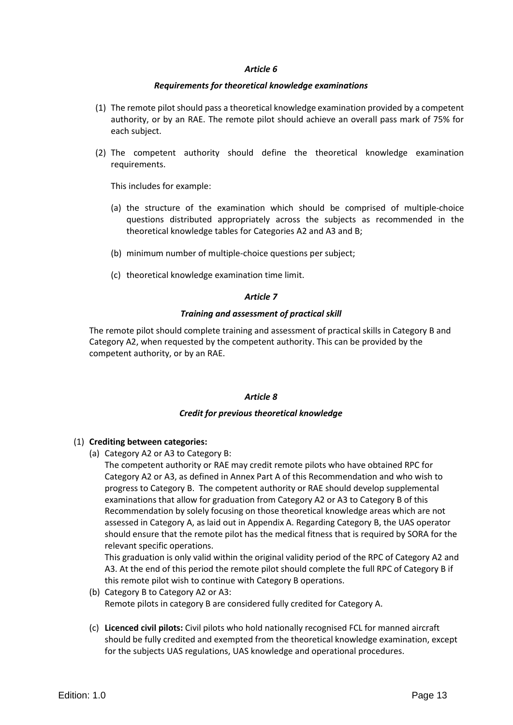#### *Requirements for theoretical knowledge examinations*

- (1) The remote pilot should pass a theoretical knowledge examination provided by a competent authority, or by an RAE. The remote pilot should achieve an overall pass mark of 75% for each subject.
- (2) The competent authority should define the theoretical knowledge examination requirements.

This includes for example:

- (a) the structure of the examination which should be comprised of multiple-choice questions distributed appropriately across the subjects as recommended in the theoretical knowledge tables for Categories A2 and A3 and B;
- (b) minimum number of multiple-choice questions per subject;
- (c) theoretical knowledge examination time limit.

#### *Article 7*

#### *Training and assessment of practical skill*

The remote pilot should complete training and assessment of practical skills in Category B and Category A2, when requested by the competent authority. This can be provided by the competent authority, or by an RAE.

#### *Article 8*

#### *Credit for previous theoretical knowledge*

#### (1) **Crediting between categories:**

(a) Category A2 or A3 to Category B:

The competent authority or RAE may credit remote pilots who have obtained RPC for Category A2 or A3, as defined in Annex Part A of this Recommendation and who wish to progress to Category B. The competent authority or RAE should develop supplemental examinations that allow for graduation from Category A2 or A3 to Category B of this Recommendation by solely focusing on those theoretical knowledge areas which are not assessed in Category A, as laid out in Appendix A. Regarding Category B, the UAS operator should ensure that the remote pilot has the medical fitness that is required by SORA for the relevant specific operations.

This graduation is only valid within the original validity period of the RPC of Category A2 and A3. At the end of this period the remote pilot should complete the full RPC of Category B if this remote pilot wish to continue with Category B operations.

- (b) Category B to Category A2 or A3: Remote pilots in category B are considered fully credited for Category A.
- (c) **Licenced civil pilots:** Civil pilots who hold nationally recognised FCL for manned aircraft should be fully credited and exempted from the theoretical knowledge examination, except for the subjects UAS regulations, UAS knowledge and operational procedures.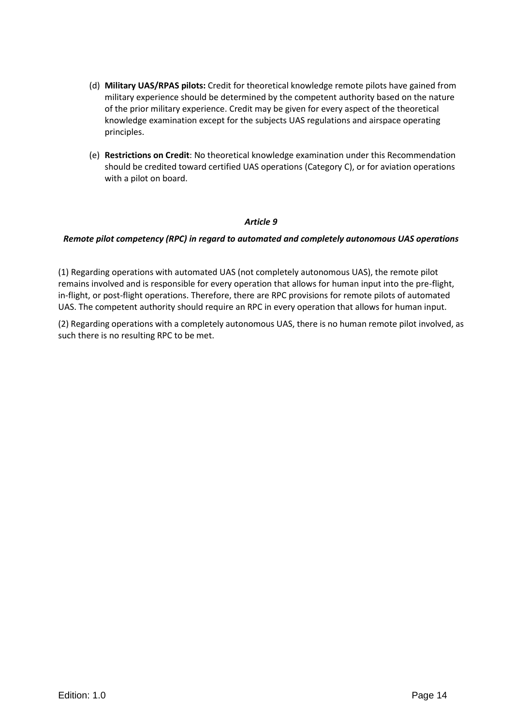- (d) **Military UAS/RPAS pilots:** Credit for theoretical knowledge remote pilots have gained from military experience should be determined by the competent authority based on the nature of the prior military experience. Credit may be given for every aspect of the theoretical knowledge examination except for the subjects UAS regulations and airspace operating principles.
- (e) **Restrictions on Credit**: No theoretical knowledge examination under this Recommendation should be credited toward certified UAS operations (Category C), or for aviation operations with a pilot on board.

#### *Remote pilot competency (RPC) in regard to automated and completely autonomous UAS operations*

(1) Regarding operations with automated UAS (not completely autonomous UAS), the remote pilot remains involved and is responsible for every operation that allows for human input into the pre-flight, in-flight, or post-flight operations. Therefore, there are RPC provisions for remote pilots of automated UAS. The competent authority should require an RPC in every operation that allows for human input.

(2) Regarding operations with a completely autonomous UAS, there is no human remote pilot involved, as such there is no resulting RPC to be met.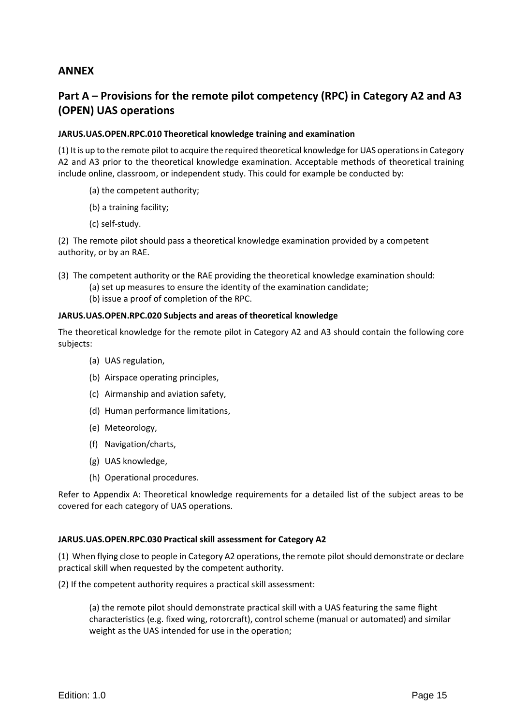### **ANNEX**

### **Part A – Provisions for the remote pilot competency (RPC) in Category A2 and A3 (OPEN) UAS operations**

#### **JARUS.UAS.OPEN.RPC.010 Theoretical knowledge training and examination**

(1) It is up to the remote pilot to acquire the required theoretical knowledge for UAS operations in Category A2 and A3 prior to the theoretical knowledge examination. Acceptable methods of theoretical training include online, classroom, or independent study. This could for example be conducted by:

- (a) the competent authority;
- (b) a training facility;
- (c) self-study.

(2) The remote pilot should pass a theoretical knowledge examination provided by a competent authority, or by an RAE.

- (3) The competent authority or the RAE providing the theoretical knowledge examination should:
	- (a) set up measures to ensure the identity of the examination candidate;
	- (b) issue a proof of completion of the RPC.

#### **JARUS.UAS.OPEN.RPC.020 Subjects and areas of theoretical knowledge**

The theoretical knowledge for the remote pilot in Category A2 and A3 should contain the following core subjects:

- (a) UAS regulation,
- (b) Airspace operating principles,
- (c) Airmanship and aviation safety,
- (d) Human performance limitations,
- (e) Meteorology,
- (f) Navigation/charts,
- (g) UAS knowledge,
- (h) Operational procedures.

Refer to Appendix A: Theoretical knowledge requirements for a detailed list of the subject areas to be covered for each category of UAS operations.

#### **JARUS.UAS.OPEN.RPC.030 Practical skill assessment for Category A2**

(1) When flying close to people in Category A2 operations, the remote pilot should demonstrate or declare practical skill when requested by the competent authority.

(2) If the competent authority requires a practical skill assessment:

(a) the remote pilot should demonstrate practical skill with a UAS featuring the same flight characteristics (e.g. fixed wing, rotorcraft), control scheme (manual or automated) and similar weight as the UAS intended for use in the operation;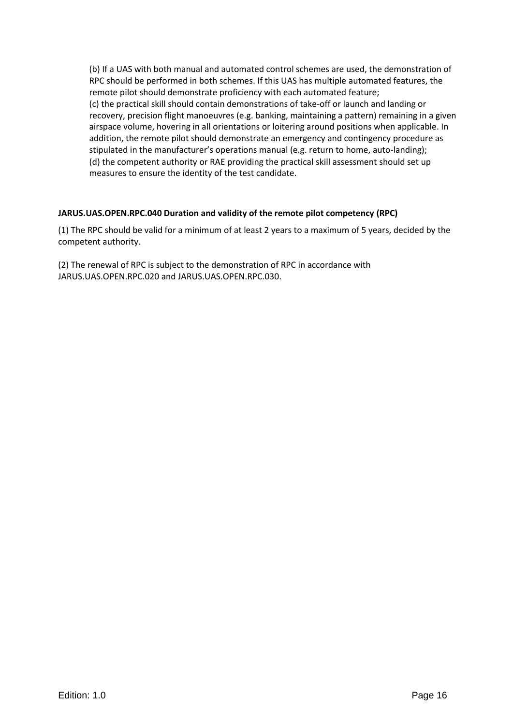(b) If a UAS with both manual and automated control schemes are used, the demonstration of RPC should be performed in both schemes. If this UAS has multiple automated features, the remote pilot should demonstrate proficiency with each automated feature; (c) the practical skill should contain demonstrations of take-off or launch and landing or recovery, precision flight manoeuvres (e.g. banking, maintaining a pattern) remaining in a given airspace volume, hovering in all orientations or loitering around positions when applicable. In addition, the remote pilot should demonstrate an emergency and contingency procedure as stipulated in the manufacturer's operations manual (e.g. return to home, auto-landing); (d) the competent authority or RAE providing the practical skill assessment should set up measures to ensure the identity of the test candidate.

#### **JARUS.UAS.OPEN.RPC.040 Duration and validity of the remote pilot competency (RPC)**

(1) The RPC should be valid for a minimum of at least 2 years to a maximum of 5 years, decided by the competent authority.

(2) The renewal of RPC is subject to the demonstration of RPC in accordance with JARUS.UAS.OPEN.RPC.020 and JARUS.UAS.OPEN.RPC.030.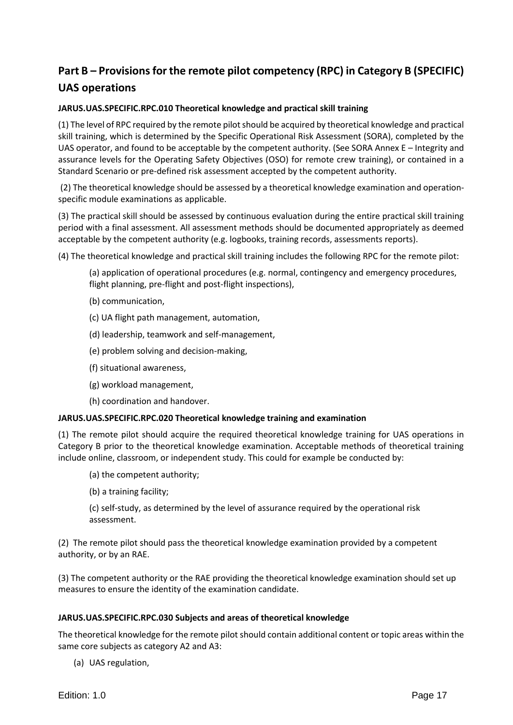### **Part B – Provisions for the remote pilot competency (RPC) in Category B (SPECIFIC) UAS operations**

#### **JARUS.UAS.SPECIFIC.RPC.010 Theoretical knowledge and practical skill training**

(1) The level of RPC required by the remote pilot should be acquired by theoretical knowledge and practical skill training, which is determined by the Specific Operational Risk Assessment (SORA), completed by the UAS operator, and found to be acceptable by the competent authority. (See SORA Annex E – Integrity and assurance levels for the Operating Safety Objectives (OSO) for remote crew training), or contained in a Standard Scenario or pre-defined risk assessment accepted by the competent authority.

(2) The theoretical knowledge should be assessed by a theoretical knowledge examination and operationspecific module examinations as applicable.

(3) The practical skill should be assessed by continuous evaluation during the entire practical skill training period with a final assessment. All assessment methods should be documented appropriately as deemed acceptable by the competent authority (e.g. logbooks, training records, assessments reports).

(4) The theoretical knowledge and practical skill training includes the following RPC for the remote pilot:

(a) application of operational procedures (e.g. normal, contingency and emergency procedures, flight planning, pre-flight and post-flight inspections),

- (b) communication,
- (c) UA flight path management, automation,
- (d) leadership, teamwork and self-management,
- (e) problem solving and decision-making,
- (f) situational awareness,
- (g) workload management,
- (h) coordination and handover.

#### **JARUS.UAS.SPECIFIC.RPC.020 Theoretical knowledge training and examination**

(1) The remote pilot should acquire the required theoretical knowledge training for UAS operations in Category B prior to the theoretical knowledge examination. Acceptable methods of theoretical training include online, classroom, or independent study. This could for example be conducted by:

- (a) the competent authority;
- (b) a training facility;

(c) self-study, as determined by the level of assurance required by the operational risk assessment.

(2) The remote pilot should pass the theoretical knowledge examination provided by a competent authority, or by an RAE.

(3) The competent authority or the RAE providing the theoretical knowledge examination should set up measures to ensure the identity of the examination candidate.

#### **JARUS.UAS.SPECIFIC.RPC.030 Subjects and areas of theoretical knowledge**

The theoretical knowledge for the remote pilot should contain additional content or topic areas within the same core subjects as category A2 and A3:

(a) UAS regulation,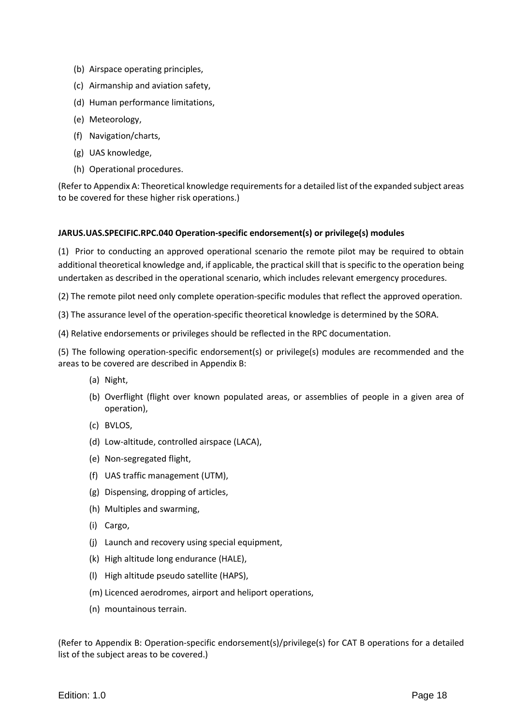- (b) Airspace operating principles,
- (c) Airmanship and aviation safety,
- (d) Human performance limitations,
- (e) Meteorology,
- (f) Navigation/charts,
- (g) UAS knowledge,
- (h) Operational procedures.

(Refer to Appendix A: Theoretical knowledge requirements for a detailed list of the expanded subject areas to be covered for these higher risk operations.)

#### **JARUS.UAS.SPECIFIC.RPC.040 Operation-specific endorsement(s) or privilege(s) modules**

(1) Prior to conducting an approved operational scenario the remote pilot may be required to obtain additional theoretical knowledge and, if applicable, the practical skill that is specific to the operation being undertaken as described in the operational scenario, which includes relevant emergency procedures.

(2) The remote pilot need only complete operation-specific modules that reflect the approved operation.

(3) The assurance level of the operation-specific theoretical knowledge is determined by the SORA.

(4) Relative endorsements or privileges should be reflected in the RPC documentation.

(5) The following operation-specific endorsement(s) or privilege(s) modules are recommended and the areas to be covered are described in Appendix B:

- (a) Night,
- (b) Overflight (flight over known populated areas, or assemblies of people in a given area of operation),
- (c) BVLOS,
- (d) Low-altitude, controlled airspace (LACA),
- (e) Non-segregated flight,
- (f) UAS traffic management (UTM),
- (g) Dispensing, dropping of articles,
- (h) Multiples and swarming,
- (i) Cargo,
- (j) Launch and recovery using special equipment,
- (k) High altitude long endurance (HALE),
- (l) High altitude pseudo satellite (HAPS),
- (m) Licenced aerodromes, airport and heliport operations,
- (n) mountainous terrain.

(Refer to Appendix B: Operation-specific endorsement(s)/privilege(s) for CAT B operations for a detailed list of the subject areas to be covered.)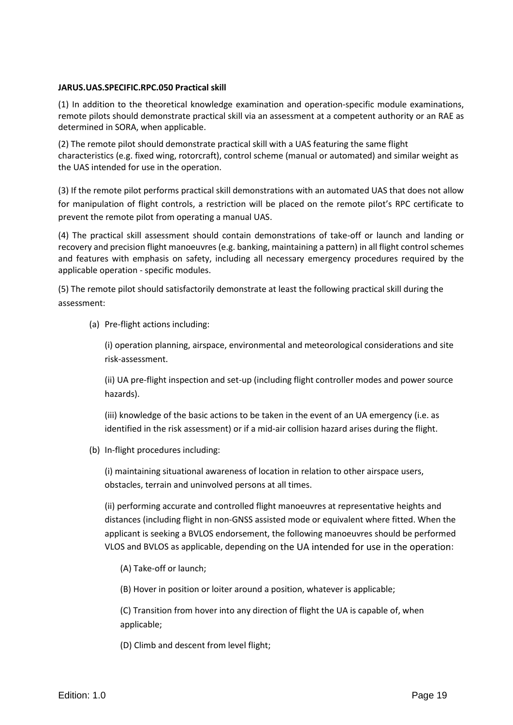#### **JARUS.UAS.SPECIFIC.RPC.050 Practical skill**

(1) In addition to the theoretical knowledge examination and operation-specific module examinations, remote pilots should demonstrate practical skill via an assessment at a competent authority or an RAE as determined in SORA, when applicable.

(2) The remote pilot should demonstrate practical skill with a UAS featuring the same flight characteristics (e.g. fixed wing, rotorcraft), control scheme (manual or automated) and similar weight as the UAS intended for use in the operation.

(3) If the remote pilot performs practical skill demonstrations with an automated UAS that does not allow for manipulation of flight controls, a restriction will be placed on the remote pilot's RPC certificate to prevent the remote pilot from operating a manual UAS.

(4) The practical skill assessment should contain demonstrations of take-off or launch and landing or recovery and precision flight manoeuvres (e.g. banking, maintaining a pattern) in all flight control schemes and features with emphasis on safety, including all necessary emergency procedures required by the applicable operation - specific modules.

(5) The remote pilot should satisfactorily demonstrate at least the following practical skill during the assessment:

(a) Pre-flight actions including:

(i) operation planning, airspace, environmental and meteorological considerations and site risk-assessment.

(ii) UA pre-flight inspection and set-up (including flight controller modes and power source hazards).

(iii) knowledge of the basic actions to be taken in the event of an UA emergency (i.e. as identified in the risk assessment) or if a mid-air collision hazard arises during the flight.

(b) In-flight procedures including:

(i) maintaining situational awareness of location in relation to other airspace users, obstacles, terrain and uninvolved persons at all times.

(ii) performing accurate and controlled flight manoeuvres at representative heights and distances (including flight in non-GNSS assisted mode or equivalent where fitted. When the applicant is seeking a BVLOS endorsement, the following manoeuvres should be performed VLOS and BVLOS as applicable, depending on the UA intended for use in the operation:

(A) Take-off or launch;

(B) Hover in position or loiter around a position, whatever is applicable;

(C) Transition from hover into any direction of flight the UA is capable of, when applicable;

(D) Climb and descent from level flight;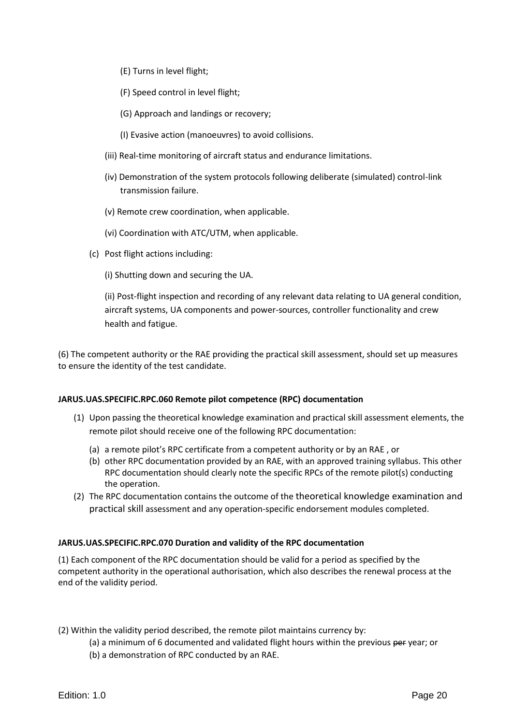- (E) Turns in level flight;
- (F) Speed control in level flight;
- (G) Approach and landings or recovery;
- (I) Evasive action (manoeuvres) to avoid collisions.
- (iii) Real-time monitoring of aircraft status and endurance limitations.
- (iv) Demonstration of the system protocols following deliberate (simulated) control-link transmission failure.
- (v) Remote crew coordination, when applicable.
- (vi) Coordination with ATC/UTM, when applicable.
- (c) Post flight actions including:
	- (i) Shutting down and securing the UA.

(ii) Post-flight inspection and recording of any relevant data relating to UA general condition, aircraft systems, UA components and power-sources, controller functionality and crew health and fatigue.

(6) The competent authority or the RAE providing the practical skill assessment, should set up measures to ensure the identity of the test candidate.

#### **JARUS.UAS.SPECIFIC.RPC.060 Remote pilot competence (RPC) documentation**

- (1) Upon passing the theoretical knowledge examination and practical skill assessment elements, the remote pilot should receive one of the following RPC documentation:
	- (a) a remote pilot's RPC certificate from a competent authority or by an RAE , or
	- (b) other RPC documentation provided by an RAE, with an approved training syllabus. This other RPC documentation should clearly note the specific RPCs of the remote pilot(s) conducting the operation.
- (2) The RPC documentation contains the outcome of the theoretical knowledge examination and practical skill assessment and any operation-specific endorsement modules completed.

#### **JARUS.UAS.SPECIFIC.RPC.070 Duration and validity of the RPC documentation**

(1) Each component of the RPC documentation should be valid for a period as specified by the competent authority in the operational authorisation, which also describes the renewal process at the end of the validity period.

(2) Within the validity period described, the remote pilot maintains currency by:

- (a) a minimum of 6 documented and validated flight hours within the previous per year; or
- (b) a demonstration of RPC conducted by an RAE.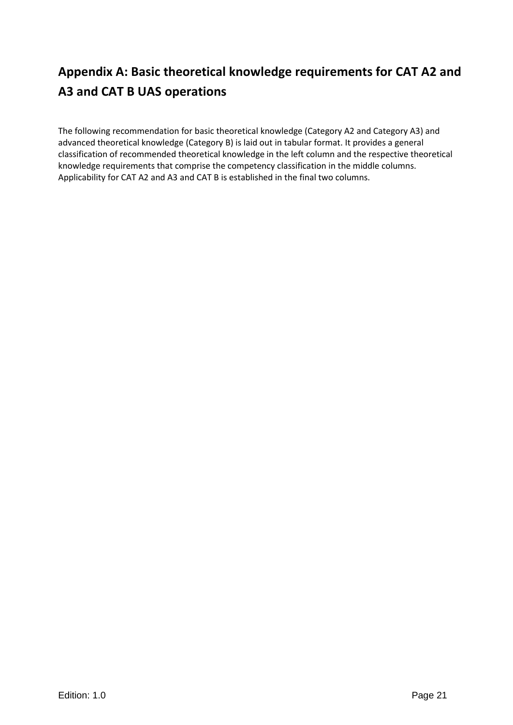### **Appendix A: Basic theoretical knowledge requirements for CAT A2 and A3 and CAT B UAS operations**

The following recommendation for basic theoretical knowledge (Category A2 and Category A3) and advanced theoretical knowledge (Category B) is laid out in tabular format. It provides a general classification of recommended theoretical knowledge in the left column and the respective theoretical knowledge requirements that comprise the competency classification in the middle columns. Applicability for CAT A2 and A3 and CAT B is established in the final two columns.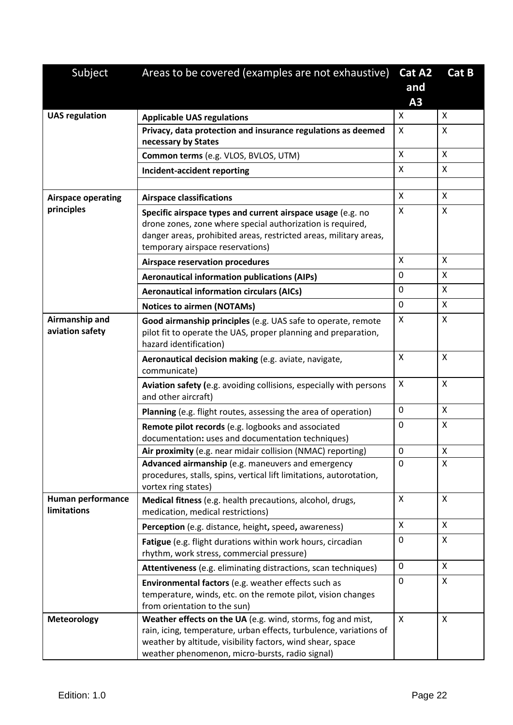| Subject                           | Areas to be covered (examples are not exhaustive)                                                                                                                                                                                                  |                           | Cat B              |
|-----------------------------------|----------------------------------------------------------------------------------------------------------------------------------------------------------------------------------------------------------------------------------------------------|---------------------------|--------------------|
|                                   |                                                                                                                                                                                                                                                    |                           |                    |
|                                   |                                                                                                                                                                                                                                                    | A3                        |                    |
| <b>UAS regulation</b>             | <b>Applicable UAS regulations</b>                                                                                                                                                                                                                  | X                         | X                  |
|                                   | Privacy, data protection and insurance regulations as deemed<br>necessary by States                                                                                                                                                                | X                         | X                  |
|                                   | Common terms (e.g. VLOS, BVLOS, UTM)                                                                                                                                                                                                               | X                         | X                  |
|                                   | Incident-accident reporting                                                                                                                                                                                                                        | X                         | X                  |
|                                   |                                                                                                                                                                                                                                                    |                           |                    |
| <b>Airspace operating</b>         | <b>Airspace classifications</b>                                                                                                                                                                                                                    | X                         | X                  |
| principles                        | Specific airspace types and current airspace usage (e.g. no                                                                                                                                                                                        | X                         | X                  |
|                                   | drone zones, zone where special authorization is required,                                                                                                                                                                                         |                           |                    |
|                                   | danger areas, prohibited areas, restricted areas, military areas,<br>temporary airspace reservations)                                                                                                                                              |                           |                    |
|                                   | <b>Airspace reservation procedures</b>                                                                                                                                                                                                             | X                         | X                  |
|                                   |                                                                                                                                                                                                                                                    | 0                         | X                  |
|                                   | <b>Aeronautical information publications (AIPs)</b>                                                                                                                                                                                                | $\mathbf 0$               | $\mathsf{x}$       |
|                                   | <b>Aeronautical information circulars (AICs)</b>                                                                                                                                                                                                   |                           |                    |
|                                   | <b>Notices to airmen (NOTAMs)</b>                                                                                                                                                                                                                  | 0                         | X                  |
| Airmanship and<br>aviation safety | Good airmanship principles (e.g. UAS safe to operate, remote<br>pilot fit to operate the UAS, proper planning and preparation,<br>hazard identification)                                                                                           | X                         | X                  |
|                                   | Aeronautical decision making (e.g. aviate, navigate,<br>communicate)                                                                                                                                                                               | $\boldsymbol{\mathsf{X}}$ | X                  |
|                                   | Aviation safety (e.g. avoiding collisions, especially with persons<br>and other aircraft)                                                                                                                                                          | $\boldsymbol{\mathsf{X}}$ | $\mathsf{x}$       |
|                                   | Planning (e.g. flight routes, assessing the area of operation)                                                                                                                                                                                     | 0                         | X                  |
|                                   | Remote pilot records (e.g. logbooks and associated<br>documentation: uses and documentation techniques)                                                                                                                                            | 0                         | X                  |
|                                   | Air proximity (e.g. near midair collision (NMAC) reporting)                                                                                                                                                                                        | $\boldsymbol{0}$          | $\pmb{\mathsf{X}}$ |
|                                   | Advanced airmanship (e.g. maneuvers and emergency<br>procedures, stalls, spins, vertical lift limitations, autorotation,<br>vortex ring states)                                                                                                    | $\mathbf 0$               | X                  |
| Human performance<br>limitations  | Medical fitness (e.g. health precautions, alcohol, drugs,<br>medication, medical restrictions)                                                                                                                                                     | $\pmb{\times}$            | X                  |
|                                   | Perception (e.g. distance, height, speed, awareness)                                                                                                                                                                                               | X                         | X                  |
|                                   | Fatigue (e.g. flight durations within work hours, circadian<br>rhythm, work stress, commercial pressure)                                                                                                                                           | 0                         | X                  |
|                                   | Attentiveness (e.g. eliminating distractions, scan techniques)                                                                                                                                                                                     | 0                         | X                  |
|                                   | Environmental factors (e.g. weather effects such as<br>temperature, winds, etc. on the remote pilot, vision changes<br>from orientation to the sun)                                                                                                | 0                         | X                  |
| <b>Meteorology</b>                | Weather effects on the UA (e.g. wind, storms, fog and mist,<br>rain, icing, temperature, urban effects, turbulence, variations of<br>weather by altitude, visibility factors, wind shear, space<br>weather phenomenon, micro-bursts, radio signal) | X                         | X                  |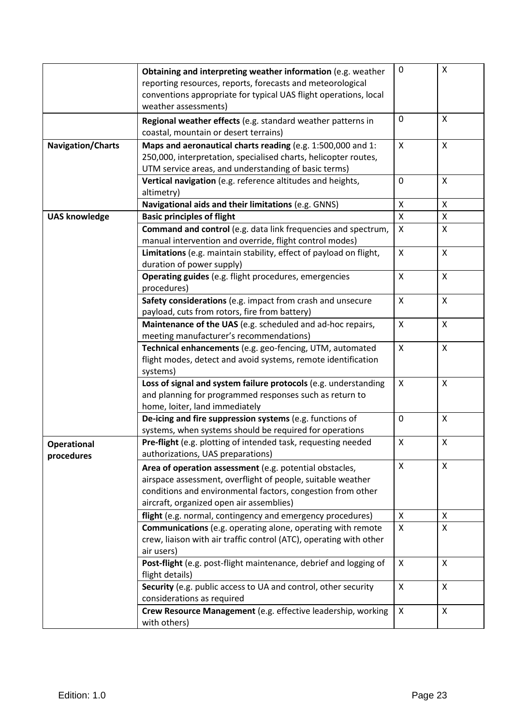|                                  | Obtaining and interpreting weather information (e.g. weather<br>reporting resources, reports, forecasts and meteorological<br>conventions appropriate for typical UAS flight operations, local<br>weather assessments)            | $\mathbf 0$               | X                  |
|----------------------------------|-----------------------------------------------------------------------------------------------------------------------------------------------------------------------------------------------------------------------------------|---------------------------|--------------------|
|                                  | Regional weather effects (e.g. standard weather patterns in<br>coastal, mountain or desert terrains)                                                                                                                              | 0                         | X                  |
| <b>Navigation/Charts</b>         | Maps and aeronautical charts reading (e.g. 1:500,000 and 1:<br>250,000, interpretation, specialised charts, helicopter routes,<br>UTM service areas, and understanding of basic terms)                                            | $\mathsf{X}$              | X                  |
|                                  | Vertical navigation (e.g. reference altitudes and heights,<br>altimetry)                                                                                                                                                          | $\mathbf 0$               | $\pmb{\mathsf{X}}$ |
|                                  | Navigational aids and their limitations (e.g. GNNS)                                                                                                                                                                               | X                         | X                  |
| <b>UAS knowledge</b>             | <b>Basic principles of flight</b>                                                                                                                                                                                                 | $\pmb{\mathsf{X}}$        | $\mathsf{X}$       |
|                                  | Command and control (e.g. data link frequencies and spectrum,<br>manual intervention and override, flight control modes)                                                                                                          | X                         | X                  |
|                                  | Limitations (e.g. maintain stability, effect of payload on flight,<br>duration of power supply)                                                                                                                                   | $\mathsf{X}$              | $\mathsf{X}$       |
|                                  | Operating guides (e.g. flight procedures, emergencies<br>procedures)                                                                                                                                                              | X                         | X                  |
|                                  | Safety considerations (e.g. impact from crash and unsecure<br>payload, cuts from rotors, fire from battery)                                                                                                                       | X                         | X                  |
|                                  | Maintenance of the UAS (e.g. scheduled and ad-hoc repairs,<br>meeting manufacturer's recommendations)                                                                                                                             | X                         | X                  |
|                                  | Technical enhancements (e.g. geo-fencing, UTM, automated<br>flight modes, detect and avoid systems, remote identification<br>systems)                                                                                             | X                         | X                  |
|                                  | Loss of signal and system failure protocols (e.g. understanding<br>and planning for programmed responses such as return to<br>home, loiter, land immediately                                                                      | X                         | X                  |
|                                  | De-icing and fire suppression systems (e.g. functions of<br>systems, when systems should be required for operations                                                                                                               | $\mathbf 0$               | X                  |
| <b>Operational</b><br>procedures | Pre-flight (e.g. plotting of intended task, requesting needed<br>authorizations, UAS preparations)                                                                                                                                | X                         | X                  |
|                                  | Area of operation assessment (e.g. potential obstacles,<br>airspace assessment, overflight of people, suitable weather<br>conditions and environmental factors, congestion from other<br>aircraft, organized open air assemblies) | X                         | X                  |
|                                  | flight (e.g. normal, contingency and emergency procedures)                                                                                                                                                                        | $\boldsymbol{\mathsf{X}}$ | X                  |
|                                  | <b>Communications</b> (e.g. operating alone, operating with remote<br>crew, liaison with air traffic control (ATC), operating with other<br>air users)                                                                            | X                         | X                  |
|                                  | Post-flight (e.g. post-flight maintenance, debrief and logging of<br>flight details)                                                                                                                                              | X                         | X                  |
|                                  | Security (e.g. public access to UA and control, other security<br>considerations as required                                                                                                                                      | $\mathsf{X}$              | X                  |
|                                  | Crew Resource Management (e.g. effective leadership, working<br>with others)                                                                                                                                                      | X                         | X                  |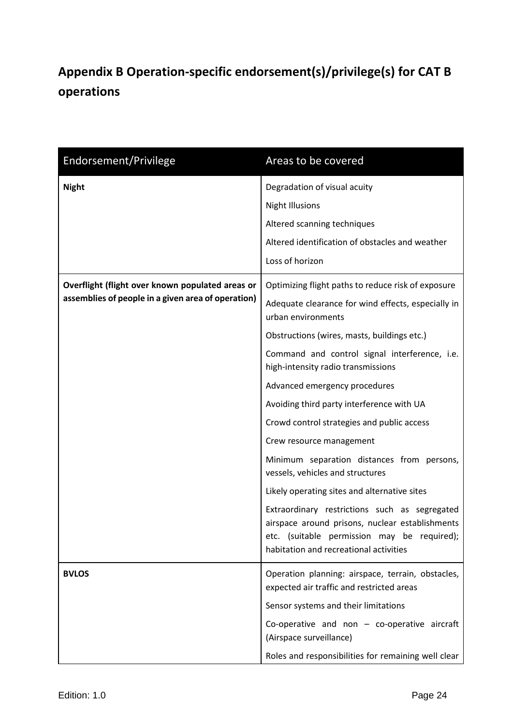### **Appendix B Operation-specific endorsement(s)/privilege(s) for CAT B operations**

| Endorsement/Privilege                              | Areas to be covered                                                                                                                                                                          |
|----------------------------------------------------|----------------------------------------------------------------------------------------------------------------------------------------------------------------------------------------------|
| <b>Night</b>                                       | Degradation of visual acuity                                                                                                                                                                 |
|                                                    | <b>Night Illusions</b>                                                                                                                                                                       |
|                                                    | Altered scanning techniques                                                                                                                                                                  |
|                                                    | Altered identification of obstacles and weather                                                                                                                                              |
|                                                    | Loss of horizon                                                                                                                                                                              |
| Overflight (flight over known populated areas or   | Optimizing flight paths to reduce risk of exposure                                                                                                                                           |
| assemblies of people in a given area of operation) | Adequate clearance for wind effects, especially in<br>urban environments                                                                                                                     |
|                                                    | Obstructions (wires, masts, buildings etc.)                                                                                                                                                  |
|                                                    | Command and control signal interference, i.e.<br>high-intensity radio transmissions                                                                                                          |
|                                                    | Advanced emergency procedures                                                                                                                                                                |
|                                                    | Avoiding third party interference with UA                                                                                                                                                    |
|                                                    | Crowd control strategies and public access                                                                                                                                                   |
|                                                    | Crew resource management                                                                                                                                                                     |
|                                                    | Minimum separation distances from persons,<br>vessels, vehicles and structures                                                                                                               |
|                                                    | Likely operating sites and alternative sites                                                                                                                                                 |
|                                                    | Extraordinary restrictions such as segregated<br>airspace around prisons, nuclear establishments<br>(suitable permission may be required);<br>etc.<br>habitation and recreational activities |
| <b>BVLOS</b>                                       | Operation planning: airspace, terrain, obstacles,<br>expected air traffic and restricted areas                                                                                               |
|                                                    | Sensor systems and their limitations                                                                                                                                                         |
|                                                    | Co-operative and non $-$ co-operative aircraft<br>(Airspace surveillance)                                                                                                                    |
|                                                    | Roles and responsibilities for remaining well clear                                                                                                                                          |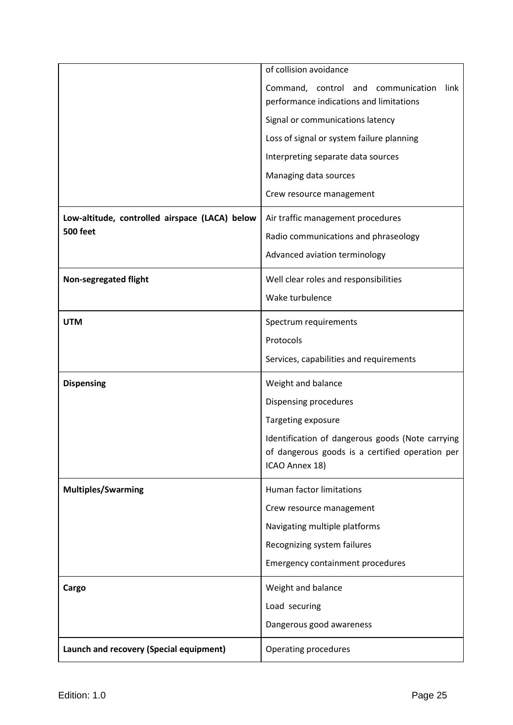|                                                | of collision avoidance                                                                                                |  |
|------------------------------------------------|-----------------------------------------------------------------------------------------------------------------------|--|
|                                                | Command, control and communication<br>link<br>performance indications and limitations                                 |  |
|                                                | Signal or communications latency                                                                                      |  |
|                                                | Loss of signal or system failure planning                                                                             |  |
|                                                | Interpreting separate data sources                                                                                    |  |
|                                                | Managing data sources                                                                                                 |  |
|                                                | Crew resource management                                                                                              |  |
| Low-altitude, controlled airspace (LACA) below | Air traffic management procedures                                                                                     |  |
| <b>500 feet</b>                                | Radio communications and phraseology                                                                                  |  |
|                                                | Advanced aviation terminology                                                                                         |  |
| Non-segregated flight                          | Well clear roles and responsibilities                                                                                 |  |
|                                                | Wake turbulence                                                                                                       |  |
| <b>UTM</b>                                     | Spectrum requirements                                                                                                 |  |
|                                                | Protocols                                                                                                             |  |
|                                                | Services, capabilities and requirements                                                                               |  |
| <b>Dispensing</b>                              | Weight and balance                                                                                                    |  |
|                                                | Dispensing procedures                                                                                                 |  |
|                                                | Targeting exposure                                                                                                    |  |
|                                                | Identification of dangerous goods (Note carrying<br>of dangerous goods is a certified operation per<br>ICAO Annex 18) |  |
| <b>Multiples/Swarming</b>                      | Human factor limitations                                                                                              |  |
|                                                | Crew resource management                                                                                              |  |
|                                                | Navigating multiple platforms                                                                                         |  |
|                                                | Recognizing system failures                                                                                           |  |
|                                                | <b>Emergency containment procedures</b>                                                                               |  |
| Cargo                                          | Weight and balance                                                                                                    |  |
|                                                | Load securing                                                                                                         |  |
|                                                | Dangerous good awareness                                                                                              |  |
| Launch and recovery (Special equipment)        | <b>Operating procedures</b>                                                                                           |  |